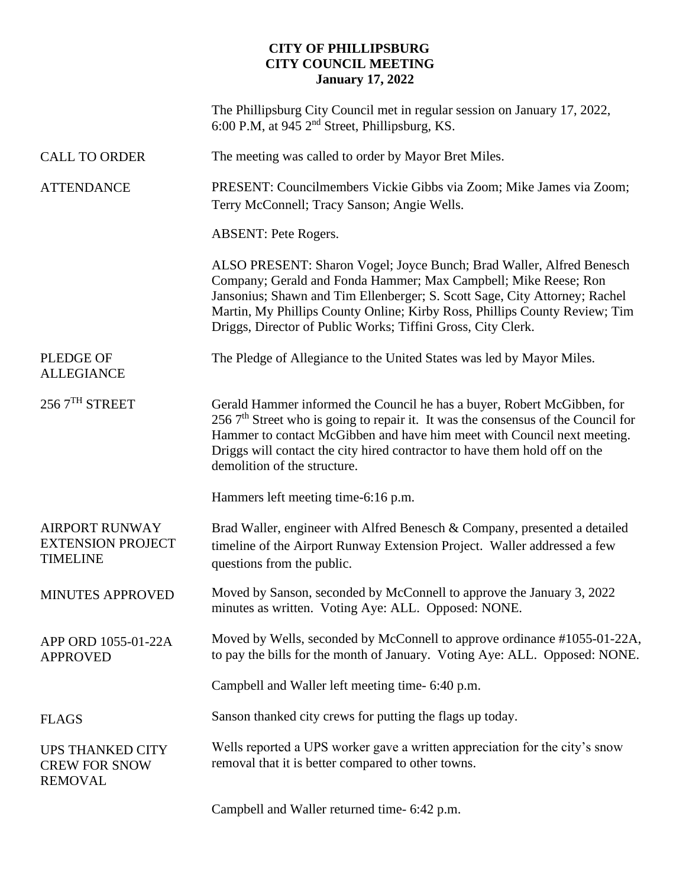## **CITY OF PHILLIPSBURG CITY COUNCIL MEETING January 17, 2022**

|                                                                      | The Phillipsburg City Council met in regular session on January 17, 2022,<br>6:00 P.M, at 945 $2nd$ Street, Phillipsburg, KS.                                                                                                                                                                                                                                       |
|----------------------------------------------------------------------|---------------------------------------------------------------------------------------------------------------------------------------------------------------------------------------------------------------------------------------------------------------------------------------------------------------------------------------------------------------------|
| <b>CALL TO ORDER</b>                                                 | The meeting was called to order by Mayor Bret Miles.                                                                                                                                                                                                                                                                                                                |
| <b>ATTENDANCE</b>                                                    | PRESENT: Councilmembers Vickie Gibbs via Zoom; Mike James via Zoom;<br>Terry McConnell; Tracy Sanson; Angie Wells.                                                                                                                                                                                                                                                  |
|                                                                      | <b>ABSENT: Pete Rogers.</b>                                                                                                                                                                                                                                                                                                                                         |
|                                                                      | ALSO PRESENT: Sharon Vogel; Joyce Bunch; Brad Waller, Alfred Benesch<br>Company; Gerald and Fonda Hammer; Max Campbell; Mike Reese; Ron<br>Jansonius; Shawn and Tim Ellenberger; S. Scott Sage, City Attorney; Rachel<br>Martin, My Phillips County Online; Kirby Ross, Phillips County Review; Tim<br>Driggs, Director of Public Works; Tiffini Gross, City Clerk. |
| <b>PLEDGE OF</b><br><b>ALLEGIANCE</b>                                | The Pledge of Allegiance to the United States was led by Mayor Miles.                                                                                                                                                                                                                                                                                               |
| $2567$ <sup>TH</sup> STREET                                          | Gerald Hammer informed the Council he has a buyer, Robert McGibben, for<br>256 $7th$ Street who is going to repair it. It was the consensus of the Council for<br>Hammer to contact McGibben and have him meet with Council next meeting.<br>Driggs will contact the city hired contractor to have them hold off on the<br>demolition of the structure.             |
|                                                                      | Hammers left meeting time-6:16 p.m.                                                                                                                                                                                                                                                                                                                                 |
| <b>AIRPORT RUNWAY</b><br><b>EXTENSION PROJECT</b><br><b>TIMELINE</b> | Brad Waller, engineer with Alfred Benesch & Company, presented a detailed<br>timeline of the Airport Runway Extension Project. Waller addressed a few<br>questions from the public.                                                                                                                                                                                 |
| MINUTES APPROVED                                                     | Moved by Sanson, seconded by McConnell to approve the January 3, 2022<br>minutes as written. Voting Aye: ALL. Opposed: NONE.                                                                                                                                                                                                                                        |
| APP ORD 1055-01-22A<br><b>APPROVED</b>                               | Moved by Wells, seconded by McConnell to approve ordinance #1055-01-22A,<br>to pay the bills for the month of January. Voting Aye: ALL. Opposed: NONE.                                                                                                                                                                                                              |
|                                                                      | Campbell and Waller left meeting time- 6:40 p.m.                                                                                                                                                                                                                                                                                                                    |
| <b>FLAGS</b>                                                         | Sanson thanked city crews for putting the flags up today.                                                                                                                                                                                                                                                                                                           |
| <b>UPS THANKED CITY</b><br><b>CREW FOR SNOW</b><br><b>REMOVAL</b>    | Wells reported a UPS worker gave a written appreciation for the city's snow<br>removal that it is better compared to other towns.                                                                                                                                                                                                                                   |

Campbell and Waller returned time- 6:42 p.m.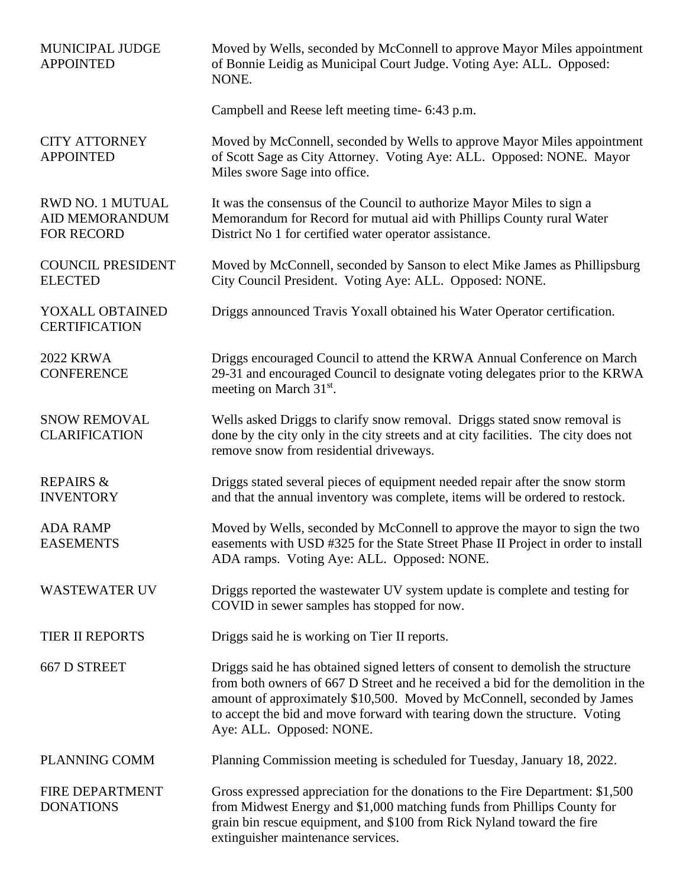| MUNICIPAL JUDGE<br><b>APPOINTED</b>              | Moved by Wells, seconded by McConnell to approve Mayor Miles appointment<br>of Bonnie Leidig as Municipal Court Judge. Voting Aye: ALL. Opposed:<br>NONE.                                                                                                                                                                                                |
|--------------------------------------------------|----------------------------------------------------------------------------------------------------------------------------------------------------------------------------------------------------------------------------------------------------------------------------------------------------------------------------------------------------------|
|                                                  | Campbell and Reese left meeting time- 6:43 p.m.                                                                                                                                                                                                                                                                                                          |
| <b>CITY ATTORNEY</b><br><b>APPOINTED</b>         | Moved by McConnell, seconded by Wells to approve Mayor Miles appointment<br>of Scott Sage as City Attorney. Voting Aye: ALL. Opposed: NONE. Mayor<br>Miles swore Sage into office.                                                                                                                                                                       |
| RWD NO. 1 MUTUAL<br>AID MEMORANDUM<br>FOR RECORD | It was the consensus of the Council to authorize Mayor Miles to sign a<br>Memorandum for Record for mutual aid with Phillips County rural Water<br>District No 1 for certified water operator assistance.                                                                                                                                                |
| <b>COUNCIL PRESIDENT</b><br><b>ELECTED</b>       | Moved by McConnell, seconded by Sanson to elect Mike James as Phillipsburg<br>City Council President. Voting Aye: ALL. Opposed: NONE.                                                                                                                                                                                                                    |
| YOXALL OBTAINED<br><b>CERTIFICATION</b>          | Driggs announced Travis Yoxall obtained his Water Operator certification.                                                                                                                                                                                                                                                                                |
| <b>2022 KRWA</b><br><b>CONFERENCE</b>            | Driggs encouraged Council to attend the KRWA Annual Conference on March<br>29-31 and encouraged Council to designate voting delegates prior to the KRWA<br>meeting on March 31 <sup>st</sup> .                                                                                                                                                           |
| <b>SNOW REMOVAL</b><br><b>CLARIFICATION</b>      | Wells asked Driggs to clarify snow removal. Driggs stated snow removal is<br>done by the city only in the city streets and at city facilities. The city does not<br>remove snow from residential driveways.                                                                                                                                              |
| <b>REPAIRS &amp;</b><br><b>INVENTORY</b>         | Driggs stated several pieces of equipment needed repair after the snow storm<br>and that the annual inventory was complete, items will be ordered to restock.                                                                                                                                                                                            |
| <b>ADA RAMP</b><br><b>EASEMENTS</b>              | Moved by Wells, seconded by McConnell to approve the mayor to sign the two<br>easements with USD #325 for the State Street Phase II Project in order to install<br>ADA ramps. Voting Aye: ALL. Opposed: NONE.                                                                                                                                            |
| <b>WASTEWATER UV</b>                             | Driggs reported the wastewater UV system update is complete and testing for<br>COVID in sewer samples has stopped for now.                                                                                                                                                                                                                               |
| <b>TIER II REPORTS</b>                           | Driggs said he is working on Tier II reports.                                                                                                                                                                                                                                                                                                            |
| 667 D STREET                                     | Driggs said he has obtained signed letters of consent to demolish the structure<br>from both owners of 667 D Street and he received a bid for the demolition in the<br>amount of approximately \$10,500. Moved by McConnell, seconded by James<br>to accept the bid and move forward with tearing down the structure. Voting<br>Aye: ALL. Opposed: NONE. |
| PLANNING COMM                                    | Planning Commission meeting is scheduled for Tuesday, January 18, 2022.                                                                                                                                                                                                                                                                                  |
| <b>FIRE DEPARTMENT</b><br><b>DONATIONS</b>       | Gross expressed appreciation for the donations to the Fire Department: \$1,500<br>from Midwest Energy and \$1,000 matching funds from Phillips County for<br>grain bin rescue equipment, and \$100 from Rick Nyland toward the fire<br>extinguisher maintenance services.                                                                                |